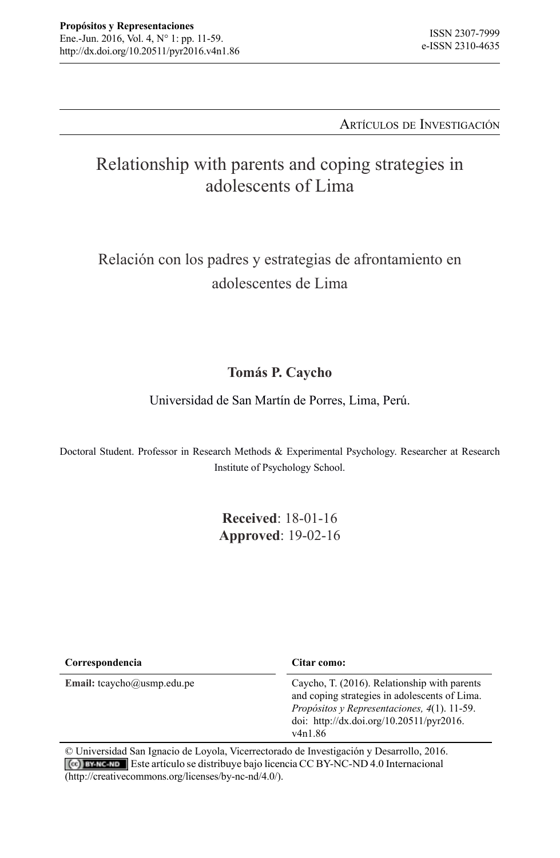#### Artículos de Investigación

# Relationship with parents and coping strategies in adolescents of Lima

# Relación con los padres y estrategias de afrontamiento en adolescentes de Lima

## **Tomás P. Caycho**

Universidad de San Martín de Porres, Lima, Perú.

Doctoral Student. Professor in Research Methods & Experimental Psychology. Researcher at Research Institute of Psychology School.

> **Received**: 18-01-16 **Approved**: 19-02-16

| Correspondencia               | Citar como:                                                                                                                                                                                                     |
|-------------------------------|-----------------------------------------------------------------------------------------------------------------------------------------------------------------------------------------------------------------|
| Email: $tcaycho@usmp.edu.p$ e | Caycho, T. (2016). Relationship with parents<br>and coping strategies in adolescents of Lima.<br>Propósitos y Representaciones, 4(1). 11-59.<br>doi: http://dx.doi.org/10.20511/pyr2016.<br>v <sub>4n1.86</sub> |

© Universidad San Ignacio de Loyola, Vicerrectorado de Investigación y Desarrollo, 2016. Este artículo se distribuye bajo licencia CC BY-NC-ND 4.0 Internacional (http://creativecommons.org/licenses/by-nc-nd/4.0/).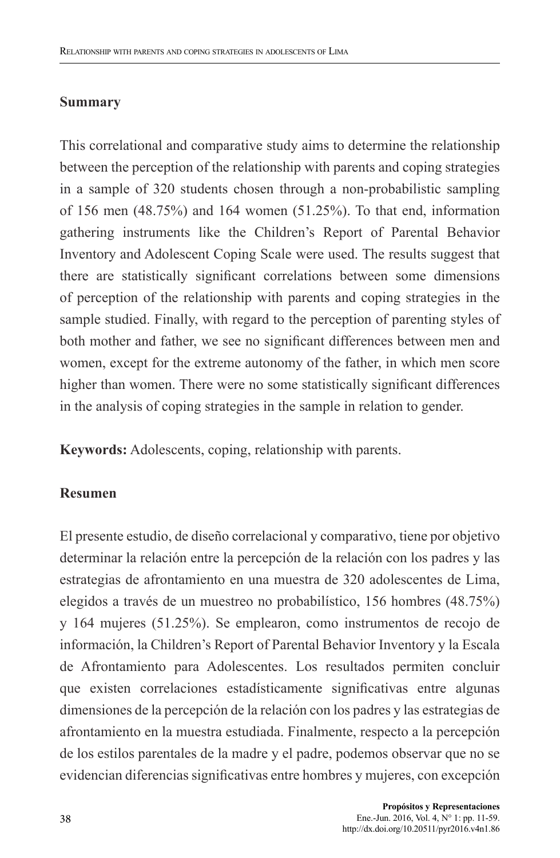## **Summary**

This correlational and comparative study aims to determine the relationship between the perception of the relationship with parents and coping strategies in a sample of 320 students chosen through a non-probabilistic sampling of 156 men (48.75%) and 164 women (51.25%). To that end, information gathering instruments like the Children's Report of Parental Behavior Inventory and Adolescent Coping Scale were used. The results suggest that there are statistically significant correlations between some dimensions of perception of the relationship with parents and coping strategies in the sample studied. Finally, with regard to the perception of parenting styles of both mother and father, we see no significant differences between men and women, except for the extreme autonomy of the father, in which men score higher than women. There were no some statistically significant differences in the analysis of coping strategies in the sample in relation to gender.

**Keywords:** Adolescents, coping, relationship with parents.

## **Resumen**

El presente estudio, de diseño correlacional y comparativo, tiene por objetivo determinar la relación entre la percepción de la relación con los padres y las estrategias de afrontamiento en una muestra de 320 adolescentes de Lima, elegidos a través de un muestreo no probabilístico, 156 hombres (48.75%) y 164 mujeres (51.25%). Se emplearon, como instrumentos de recojo de información, la Children's Report of Parental Behavior Inventory y la Escala de Afrontamiento para Adolescentes. Los resultados permiten concluir que existen correlaciones estadísticamente significativas entre algunas dimensiones de la percepción de la relación con los padres y las estrategias de afrontamiento en la muestra estudiada. Finalmente, respecto a la percepción de los estilos parentales de la madre y el padre, podemos observar que no se evidencian diferencias significativas entre hombres y mujeres, con excepción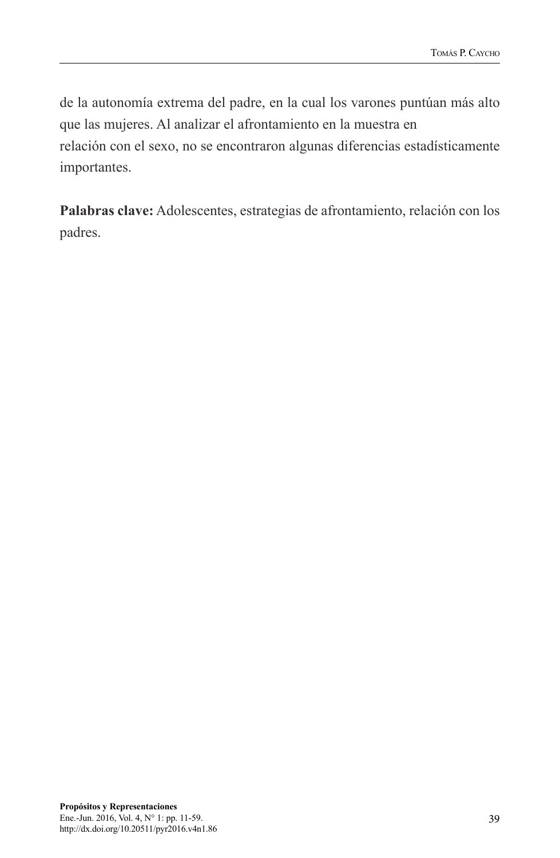de la autonomía extrema del padre, en la cual los varones puntúan más alto que las mujeres. Al analizar el afrontamiento en la muestra en relación con el sexo, no se encontraron algunas diferencias estadísticamente importantes.

**Palabras clave:** Adolescentes, estrategias de afrontamiento, relación con los padres.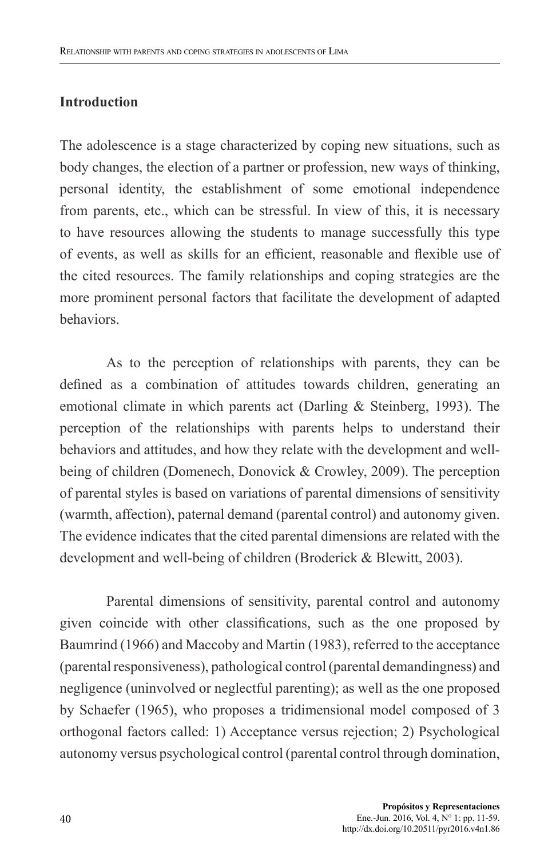## **Introduction**

The adolescence is a stage characterized by coping new situations, such as body changes, the election of a partner or profession, new ways of thinking, personal identity, the establishment of some emotional independence from parents, etc., which can be stressful. In view of this, it is necessary to have resources allowing the students to manage successfully this type of events, as well as skills for an efficient, reasonable and flexible use of the cited resources. The family relationships and coping strategies are the more prominent personal factors that facilitate the development of adapted behaviors.

As to the perception of relationships with parents, they can be defined as a combination of attitudes towards children, generating an emotional climate in which parents act (Darling & Steinberg, 1993). The perception of the relationships with parents helps to understand their behaviors and attitudes, and how they relate with the development and wellbeing of children (Domenech, Donovick & Crowley, 2009). The perception of parental styles is based on variations of parental dimensions of sensitivity (warmth, affection), paternal demand (parental control) and autonomy given. The evidence indicates that the cited parental dimensions are related with the development and well-being of children (Broderick & Blewitt, 2003).

Parental dimensions of sensitivity, parental control and autonomy given coincide with other classifications, such as the one proposed by Baumrind (1966) and Maccoby and Martin (1983), referred to the acceptance (parental responsiveness), pathological control (parental demandingness) and negligence (uninvolved or neglectful parenting); as well as the one proposed by Schaefer (1965), who proposes a tridimensional model composed of 3 orthogonal factors called: 1) Acceptance versus rejection; 2) Psychological autonomy versus psychological control (parental control through domination,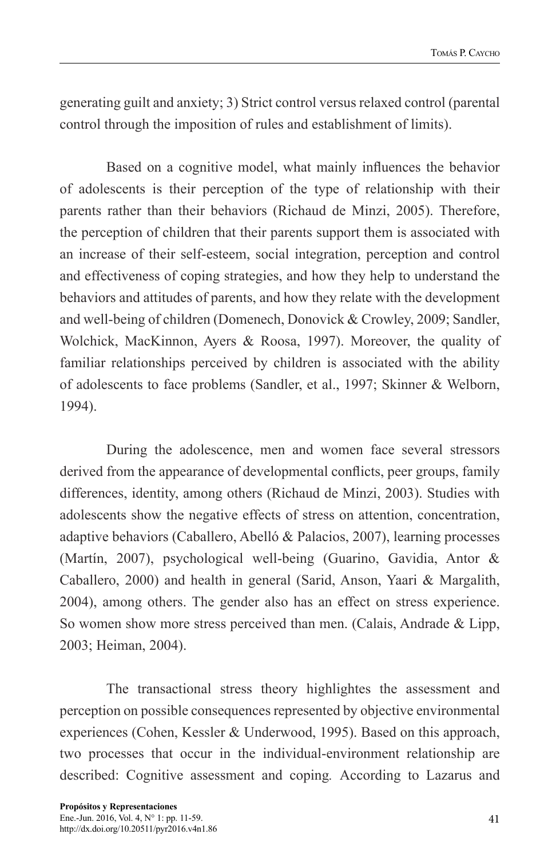generating guilt and anxiety; 3) Strict control versus relaxed control (parental control through the imposition of rules and establishment of limits).

Based on a cognitive model, what mainly influences the behavior of adolescents is their perception of the type of relationship with their parents rather than their behaviors (Richaud de Minzi, 2005). Therefore, the perception of children that their parents support them is associated with an increase of their self-esteem, social integration, perception and control and effectiveness of coping strategies, and how they help to understand the behaviors and attitudes of parents, and how they relate with the development and well-being of children (Domenech, Donovick & Crowley, 2009; Sandler, Wolchick, MacKinnon, Ayers & Roosa, 1997). Moreover, the quality of familiar relationships perceived by children is associated with the ability of adolescents to face problems (Sandler, et al., 1997; Skinner & Welborn, 1994).

During the adolescence, men and women face several stressors derived from the appearance of developmental conflicts, peer groups, family differences, identity, among others (Richaud de Minzi, 2003). Studies with adolescents show the negative effects of stress on attention, concentration, adaptive behaviors (Caballero, Abelló & Palacios, 2007), learning processes (Martín, 2007), psychological well-being (Guarino, Gavidia, Antor & Caballero, 2000) and health in general (Sarid, Anson, Yaari & Margalith, 2004), among others. The gender also has an effect on stress experience. So women show more stress perceived than men. (Calais, Andrade & Lipp, 2003; Heiman, 2004).

The transactional stress theory highlightes the assessment and perception on possible consequences represented by objective environmental experiences (Cohen, Kessler & Underwood, 1995). Based on this approach, two processes that occur in the individual-environment relationship are described: Cognitive assessment and coping*.* According to Lazarus and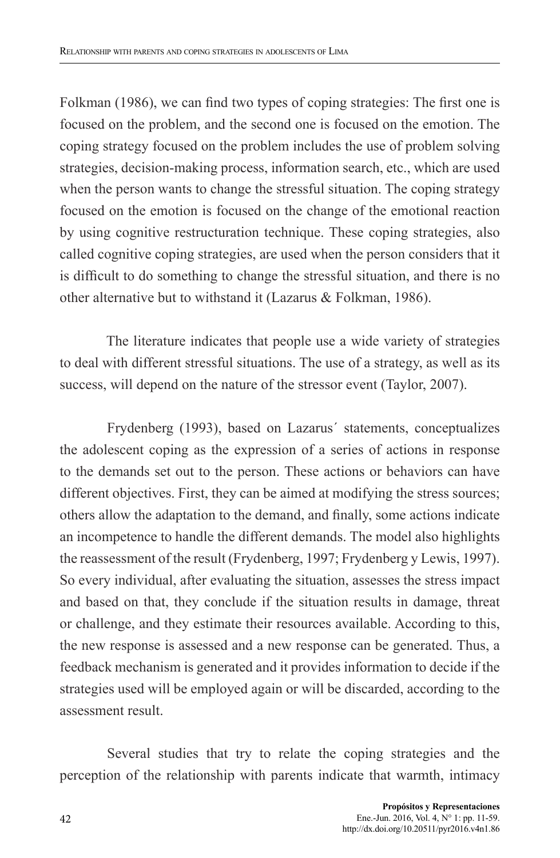Folkman (1986), we can find two types of coping strategies: The first one is focused on the problem, and the second one is focused on the emotion. The coping strategy focused on the problem includes the use of problem solving strategies, decision-making process, information search, etc., which are used when the person wants to change the stressful situation. The coping strategy focused on the emotion is focused on the change of the emotional reaction by using cognitive restructuration technique. These coping strategies, also called cognitive coping strategies, are used when the person considers that it is difficult to do something to change the stressful situation, and there is no other alternative but to withstand it (Lazarus & Folkman, 1986).

The literature indicates that people use a wide variety of strategies to deal with different stressful situations. The use of a strategy, as well as its success, will depend on the nature of the stressor event (Taylor, 2007).

Frydenberg (1993), based on Lazarus´ statements, conceptualizes the adolescent coping as the expression of a series of actions in response to the demands set out to the person. These actions or behaviors can have different objectives. First, they can be aimed at modifying the stress sources; others allow the adaptation to the demand, and finally, some actions indicate an incompetence to handle the different demands. The model also highlights the reassessment of the result (Frydenberg, 1997; Frydenberg y Lewis, 1997). So every individual, after evaluating the situation, assesses the stress impact and based on that, they conclude if the situation results in damage, threat or challenge, and they estimate their resources available. According to this, the new response is assessed and a new response can be generated. Thus, a feedback mechanism is generated and it provides information to decide if the strategies used will be employed again or will be discarded, according to the assessment result.

Several studies that try to relate the coping strategies and the perception of the relationship with parents indicate that warmth, intimacy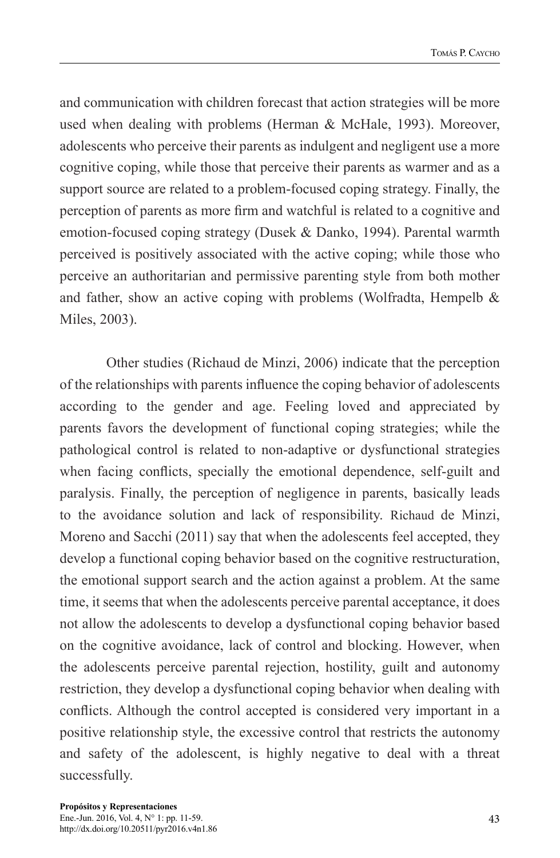and communication with children forecast that action strategies will be more used when dealing with problems (Herman & McHale, 1993). Moreover, adolescents who perceive their parents as indulgent and negligent use a more cognitive coping, while those that perceive their parents as warmer and as a support source are related to a problem-focused coping strategy. Finally, the perception of parents as more firm and watchful is related to a cognitive and emotion-focused coping strategy (Dusek & Danko, 1994). Parental warmth perceived is positively associated with the active coping; while those who perceive an authoritarian and permissive parenting style from both mother and father, show an active coping with problems (Wolfradta, Hempelb  $\&$ Miles, 2003).

Other studies (Richaud de Minzi, 2006) indicate that the perception of the relationships with parents influence the coping behavior of adolescents according to the gender and age. Feeling loved and appreciated by parents favors the development of functional coping strategies; while the pathological control is related to non-adaptive or dysfunctional strategies when facing conflicts, specially the emotional dependence, self-guilt and paralysis. Finally, the perception of negligence in parents, basically leads to the avoidance solution and lack of responsibility. Richaud de Minzi, Moreno and Sacchi (2011) say that when the adolescents feel accepted, they develop a functional coping behavior based on the cognitive restructuration, the emotional support search and the action against a problem. At the same time, it seems that when the adolescents perceive parental acceptance, it does not allow the adolescents to develop a dysfunctional coping behavior based on the cognitive avoidance, lack of control and blocking. However, when the adolescents perceive parental rejection, hostility, guilt and autonomy restriction, they develop a dysfunctional coping behavior when dealing with conflicts. Although the control accepted is considered very important in a positive relationship style, the excessive control that restricts the autonomy and safety of the adolescent, is highly negative to deal with a threat successfully.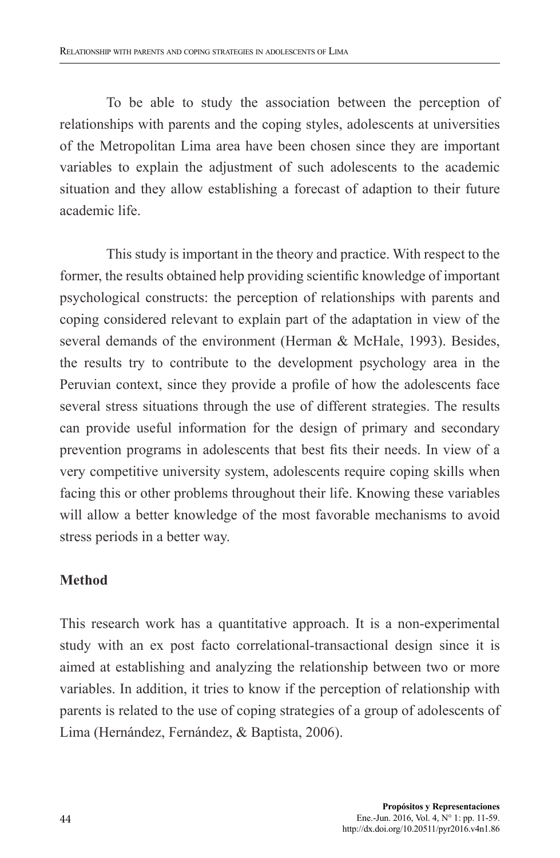To be able to study the association between the perception of relationships with parents and the coping styles, adolescents at universities of the Metropolitan Lima area have been chosen since they are important variables to explain the adjustment of such adolescents to the academic situation and they allow establishing a forecast of adaption to their future academic life.

This study is important in the theory and practice. With respect to the former, the results obtained help providing scientific knowledge of important psychological constructs: the perception of relationships with parents and coping considered relevant to explain part of the adaptation in view of the several demands of the environment (Herman & McHale, 1993). Besides, the results try to contribute to the development psychology area in the Peruvian context, since they provide a profile of how the adolescents face several stress situations through the use of different strategies. The results can provide useful information for the design of primary and secondary prevention programs in adolescents that best fits their needs. In view of a very competitive university system, adolescents require coping skills when facing this or other problems throughout their life. Knowing these variables will allow a better knowledge of the most favorable mechanisms to avoid stress periods in a better way.

# **Method**

This research work has a quantitative approach. It is a non-experimental study with an ex post facto correlational-transactional design since it is aimed at establishing and analyzing the relationship between two or more variables. In addition, it tries to know if the perception of relationship with parents is related to the use of coping strategies of a group of adolescents of Lima (Hernández, Fernández, & Baptista, 2006).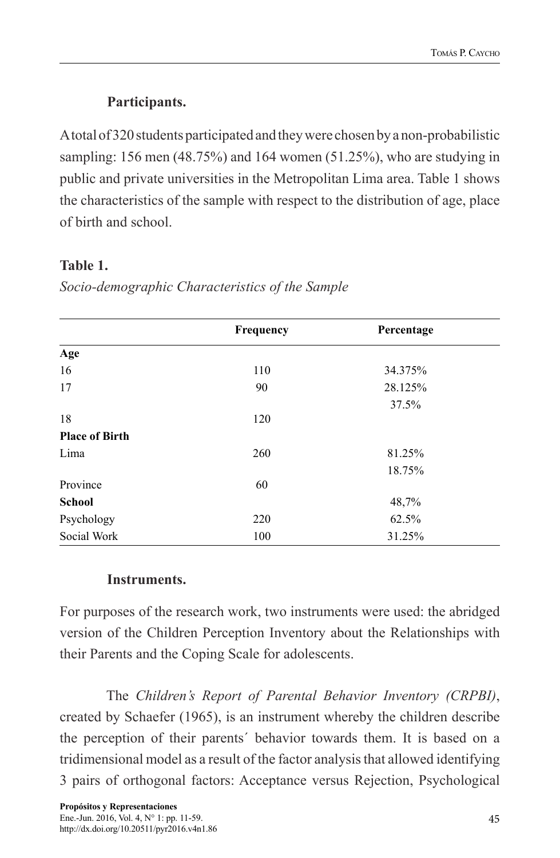# **Participants.**

A total of 320 students participated and they were chosen by a non-probabilistic sampling: 156 men (48.75%) and 164 women (51.25%), who are studying in public and private universities in the Metropolitan Lima area. Table 1 shows the characteristics of the sample with respect to the distribution of age, place of birth and school.

# **Table 1.**

|                       | Frequency | Percentage |  |
|-----------------------|-----------|------------|--|
| Age                   |           |            |  |
| 16                    | 110       | 34.375%    |  |
| 17                    | 90        | 28.125%    |  |
|                       |           | 37.5%      |  |
| 18                    | 120       |            |  |
| <b>Place of Birth</b> |           |            |  |
| Lima                  | 260       | 81.25%     |  |
|                       |           | 18.75%     |  |
| Province              | 60        |            |  |
| <b>School</b>         |           | 48,7%      |  |
| Psychology            | 220       | 62.5%      |  |
| Social Work           | 100       | 31.25%     |  |

*Socio-demographic Characteristics of the Sample*

# **Instruments.**

For purposes of the research work, two instruments were used: the abridged version of the Children Perception Inventory about the Relationships with their Parents and the Coping Scale for adolescents.

The *Children's Report of Parental Behavior Inventory (CRPBI)*, created by Schaefer (1965), is an instrument whereby the children describe the perception of their parents´ behavior towards them. It is based on a tridimensional model as a result of the factor analysis that allowed identifying 3 pairs of orthogonal factors: Acceptance versus Rejection, Psychological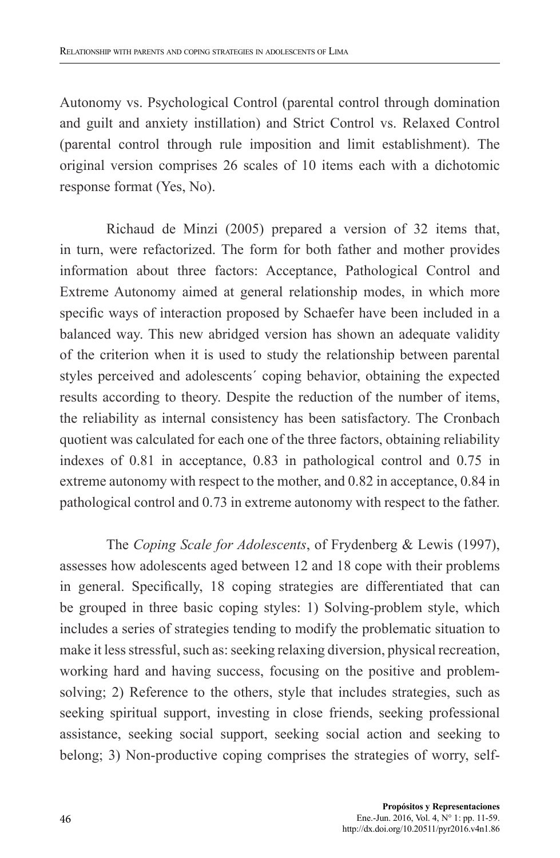Autonomy vs. Psychological Control (parental control through domination and guilt and anxiety instillation) and Strict Control vs. Relaxed Control (parental control through rule imposition and limit establishment). The original version comprises 26 scales of 10 items each with a dichotomic response format (Yes, No).

Richaud de Minzi (2005) prepared a version of 32 items that, in turn, were refactorized. The form for both father and mother provides information about three factors: Acceptance, Pathological Control and Extreme Autonomy aimed at general relationship modes, in which more specific ways of interaction proposed by Schaefer have been included in a balanced way. This new abridged version has shown an adequate validity of the criterion when it is used to study the relationship between parental styles perceived and adolescents´ coping behavior, obtaining the expected results according to theory. Despite the reduction of the number of items, the reliability as internal consistency has been satisfactory. The Cronbach quotient was calculated for each one of the three factors, obtaining reliability indexes of 0.81 in acceptance, 0.83 in pathological control and 0.75 in extreme autonomy with respect to the mother, and 0.82 in acceptance, 0.84 in pathological control and 0.73 in extreme autonomy with respect to the father.

The *Coping Scale for Adolescents*, of Frydenberg & Lewis (1997), assesses how adolescents aged between 12 and 18 cope with their problems in general. Specifically, 18 coping strategies are differentiated that can be grouped in three basic coping styles: 1) Solving-problem style, which includes a series of strategies tending to modify the problematic situation to make it less stressful, such as: seeking relaxing diversion, physical recreation, working hard and having success, focusing on the positive and problemsolving; 2) Reference to the others, style that includes strategies, such as seeking spiritual support, investing in close friends, seeking professional assistance, seeking social support, seeking social action and seeking to belong; 3) Non-productive coping comprises the strategies of worry, self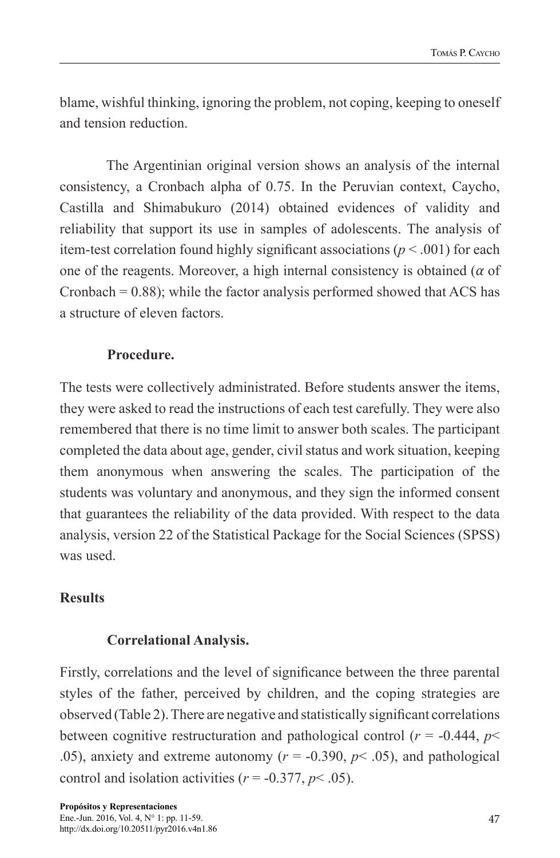blame, wishful thinking, ignoring the problem, not coping, keeping to oneself and tension reduction.

The Argentinian original version shows an analysis of the internal consistency, a Cronbach alpha of 0.75. In the Peruvian context, Caycho, Castilla and Shimabukuro (2014) obtained evidences of validity and reliability that support its use in samples of adolescents. The analysis of item-test correlation found highly significant associations ( $p < .001$ ) for each one of the reagents. Moreover, a high internal consistency is obtained (*α* of Cronbach  $= 0.88$ ); while the factor analysis performed showed that ACS has a structure of eleven factors.

# **Procedure.**

The tests were collectively administrated. Before students answer the items, they were asked to read the instructions of each test carefully. They were also remembered that there is no time limit to answer both scales. The participant completed the data about age, gender, civil status and work situation, keeping them anonymous when answering the scales. The participation of the students was voluntary and anonymous, and they sign the informed consent that guarantees the reliability of the data provided. With respect to the data analysis, version 22 of the Statistical Package for the Social Sciences (SPSS) was used.

# **Results**

## **Correlational Analysis.**

Firstly, correlations and the level of significance between the three parental styles of the father, perceived by children, and the coping strategies are observed (Table 2). There are negative and statistically significant correlations between cognitive restructuration and pathological control ( $r = -0.444$ ,  $p <$ .05), anxiety and extreme autonomy ( $r = -0.390$ ,  $p < .05$ ), and pathological control and isolation activities ( $r = -0.377$ ,  $p < .05$ ).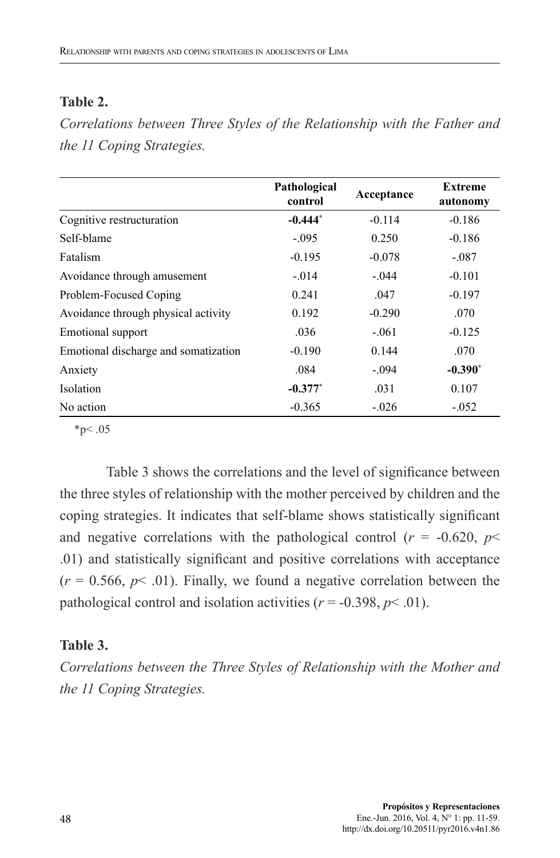## **Table 2.**

*Correlations between Three Styles of the Relationship with the Father and the 11 Coping Strategies.*

|                                      | Pathological<br>control | Acceptance | <b>Extreme</b><br>autonomy |  |
|--------------------------------------|-------------------------|------------|----------------------------|--|
| Cognitive restructuration            | $-0.444*$               | $-0.114$   | $-0.186$                   |  |
| Self-blame                           | $-.095$                 | 0.250      | $-0.186$                   |  |
| Fatalism                             | $-0.195$                | $-0.078$   | $-.087$                    |  |
| Avoidance through amusement          | $-.014$                 | $-.044$    | $-0.101$                   |  |
| Problem-Focused Coping               | 0.241                   | .047       | $-0.197$                   |  |
| Avoidance through physical activity  | 0.192                   | $-0.290$   | .070                       |  |
| Emotional support                    | .036                    | $-.061$    | $-0.125$                   |  |
| Emotional discharge and somatization | $-0.190$                | 0.144      | .070                       |  |
| Anxiety                              | .084                    | $-.094$    | $-0.390^*$                 |  |
| Isolation                            | $-0.377$ *              | .031       | 0.107                      |  |
| No action                            | $-0.365$                | $-.026$    | $-.052$                    |  |

 $*_{p<.05}$ 

Table 3 shows the correlations and the level of significance between the three styles of relationship with the mother perceived by children and the coping strategies. It indicates that self-blame shows statistically significant and negative correlations with the pathological control ( $r = -0.620$ ,  $p \le$ .01) and statistically significant and positive correlations with acceptance  $(r = 0.566, p < .01)$ . Finally, we found a negative correlation between the pathological control and isolation activities ( $r = -0.398$ ,  $p \le 0.01$ ).

## **Table 3.**

*Correlations between the Three Styles of Relationship with the Mother and the 11 Coping Strategies.*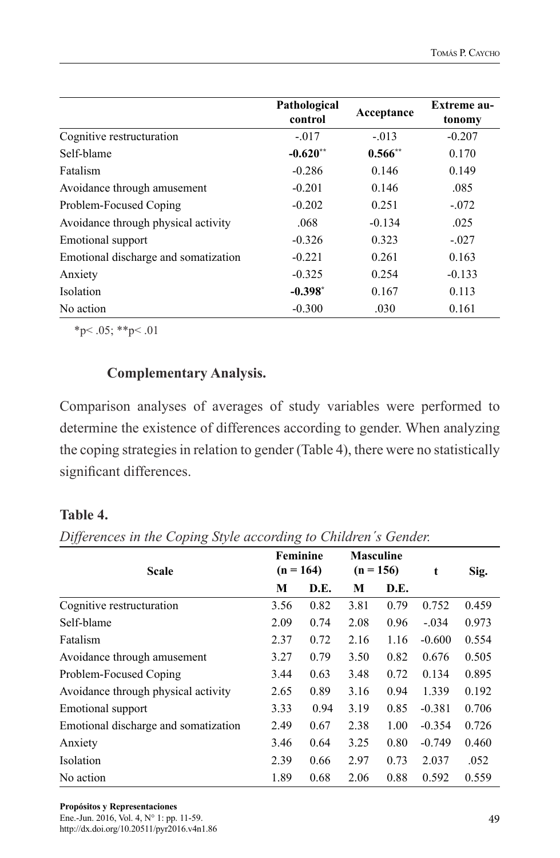|                                      | Pathological<br>control | Acceptance | <b>Extreme au-</b><br>tonomy |  |
|--------------------------------------|-------------------------|------------|------------------------------|--|
| Cognitive restructuration            | $-.017$                 | $-.013$    | $-0.207$                     |  |
| Self-blame                           | $-0.620**$              | $0.566**$  | 0.170                        |  |
| Fatalism                             | $-0.286$                | 0.146      | 0.149                        |  |
| Avoidance through amusement          | $-0.201$                | 0.146      | .085                         |  |
| Problem-Focused Coping               | $-0.202$                | 0.251      | $-.072$                      |  |
| Avoidance through physical activity  | .068                    | $-0.134$   | .025                         |  |
| Emotional support                    | $-0.326$                | 0.323      | $-.027$                      |  |
| Emotional discharge and somatization | $-0.221$                | 0.261      | 0.163                        |  |
| Anxiety                              | $-0.325$                | 0.254      | $-0.133$                     |  |
| <b>Isolation</b>                     | $-0.398*$               | 0.167      | 0.113                        |  |
| No action                            | $-0.300$                | .030       | 0.161                        |  |

 $*_{p}$  < .05;  $*_{p}$  < .01

# **Complementary Analysis.**

Comparison analyses of averages of study variables were performed to determine the existence of differences according to gender. When analyzing the coping strategies in relation to gender (Table 4), there were no statistically significant differences.

## **Table 4.**

| Differences in the Coping Style according to Children's Gender. |  |  |  |
|-----------------------------------------------------------------|--|--|--|
|                                                                 |  |  |  |

| <b>Scale</b>                         | Feminine<br>$(n = 164)$ |      | <b>Masculine</b><br>$(n = 156)$ |      | t        | Sig.  |
|--------------------------------------|-------------------------|------|---------------------------------|------|----------|-------|
|                                      | М                       | D.E. | М                               | D.E. |          |       |
| Cognitive restructuration            | 3.56                    | 0.82 | 3.81                            | 0.79 | 0.752    | 0.459 |
| Self-blame                           | 2.09                    | 0.74 | 2.08                            | 0.96 | $-.034$  | 0.973 |
| Fatalism                             | 2.37                    | 0.72 | 2.16                            | 1.16 | $-0.600$ | 0.554 |
| Avoidance through amusement          | 3.27                    | 0.79 | 3.50                            | 0.82 | 0.676    | 0.505 |
| Problem-Focused Coping               | 3.44                    | 0.63 | 3.48                            | 0.72 | 0.134    | 0.895 |
| Avoidance through physical activity  | 2.65                    | 0.89 | 3.16                            | 0.94 | 1.339    | 0.192 |
| Emotional support                    | 3.33                    | 0.94 | 3.19                            | 0.85 | $-0.381$ | 0.706 |
| Emotional discharge and somatization | 2.49                    | 0.67 | 2.38                            | 1.00 | $-0.354$ | 0.726 |
| Anxiety                              | 3.46                    | 0.64 | 3.25                            | 0.80 | $-0.749$ | 0.460 |
| Isolation                            | 2.39                    | 0.66 | 2.97                            | 0.73 | 2.037    | .052  |
| No action                            | 1.89                    | 0.68 | 2.06                            | 0.88 | 0.592    | 0.559 |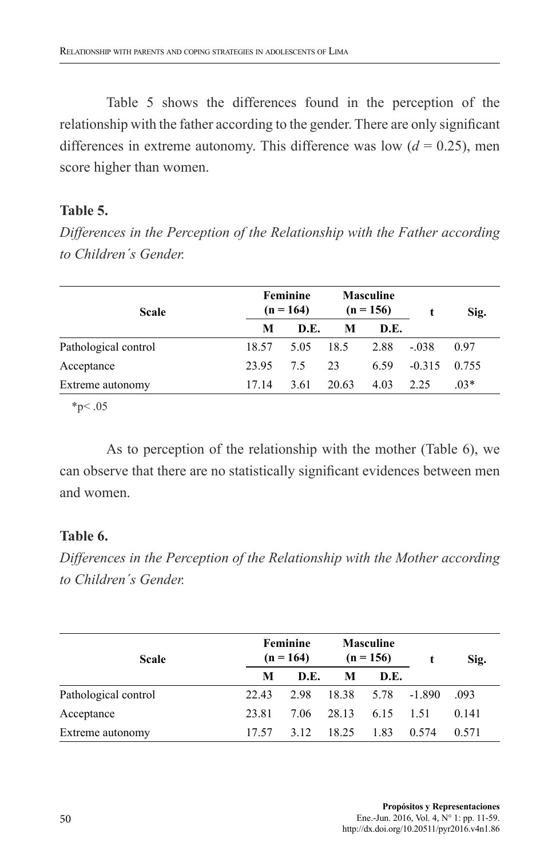Table 5 shows the differences found in the perception of the relationship with the father according to the gender. There are only significant differences in extreme autonomy. This difference was low  $(d = 0.25)$ , men score higher than women.

## **Table 5.**

*Differences in the Perception of the Relationship with the Father according to Children´s Gender.*

| <b>Scale</b>         | Feminine<br>$(n = 164)$ |      | <b>Masculine</b><br>$(n = 156)$ |      |          | Sig.   |
|----------------------|-------------------------|------|---------------------------------|------|----------|--------|
|                      | М                       | D.E. | M                               | D.E. |          |        |
| Pathological control | 18.57                   | 5.05 | 18.5                            | 2.88 | $-.038$  | 0.97   |
| Acceptance           | 23.95                   | 75   | 23                              | 6.59 | $-0.315$ | 0.755  |
| Extreme autonomy     | 1714                    | 3.61 | 20.63                           | 4.03 | 2.25     | $.03*$ |

 $*p < .05$ 

As to perception of the relationship with the mother (Table 6), we can observe that there are no statistically significant evidences between men and women.

# **Table 6.**

*Differences in the Perception of the Relationship with the Mother according to Children´s Gender.* 

| <b>Scale</b>         |       | Feminine<br>$(n = 164)$ |       | <b>Masculine</b><br>$(n = 156)$ |          | Sig.  |
|----------------------|-------|-------------------------|-------|---------------------------------|----------|-------|
|                      | М     | D.E.                    | M     | D.E.                            |          |       |
| Pathological control | 22.43 | 2.98                    | 18.38 | 5.78                            | $-1.890$ | .093  |
| Acceptance           | 23.81 | 706                     | 28.13 | 6.15                            | 1.51     | 0.141 |
| Extreme autonomy     | 17.57 | 3.12                    | 18.25 | 1.83                            | 0.574    | 0.571 |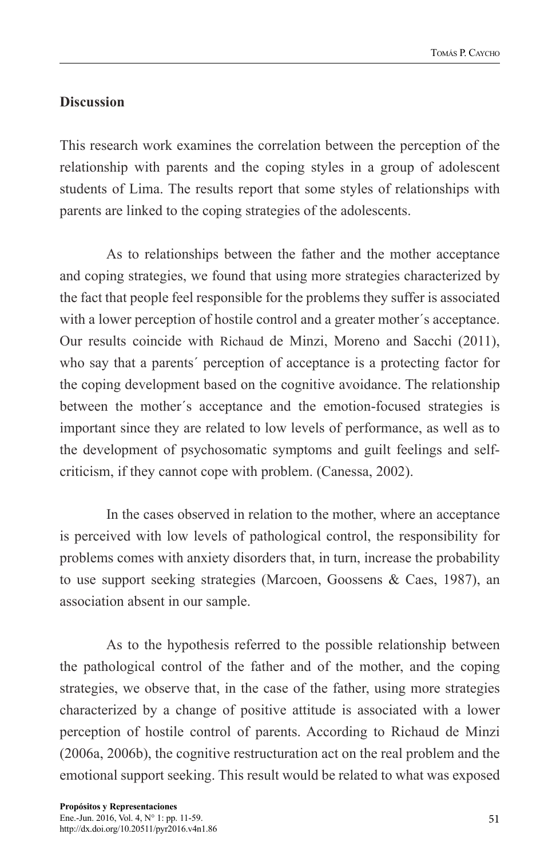# **Discussion**

This research work examines the correlation between the perception of the relationship with parents and the coping styles in a group of adolescent students of Lima. The results report that some styles of relationships with parents are linked to the coping strategies of the adolescents.

As to relationships between the father and the mother acceptance and coping strategies, we found that using more strategies characterized by the fact that people feel responsible for the problems they suffer is associated with a lower perception of hostile control and a greater mother's acceptance. Our results coincide with Richaud de Minzi, Moreno and Sacchi (2011), who say that a parents´ perception of acceptance is a protecting factor for the coping development based on the cognitive avoidance. The relationship between the mother´s acceptance and the emotion-focused strategies is important since they are related to low levels of performance, as well as to the development of psychosomatic symptoms and guilt feelings and selfcriticism, if they cannot cope with problem. (Canessa, 2002).

In the cases observed in relation to the mother, where an acceptance is perceived with low levels of pathological control, the responsibility for problems comes with anxiety disorders that, in turn, increase the probability to use support seeking strategies (Marcoen, Goossens & Caes, 1987), an association absent in our sample.

As to the hypothesis referred to the possible relationship between the pathological control of the father and of the mother, and the coping strategies, we observe that, in the case of the father, using more strategies characterized by a change of positive attitude is associated with a lower perception of hostile control of parents. According to Richaud de Minzi (2006a, 2006b), the cognitive restructuration act on the real problem and the emotional support seeking. This result would be related to what was exposed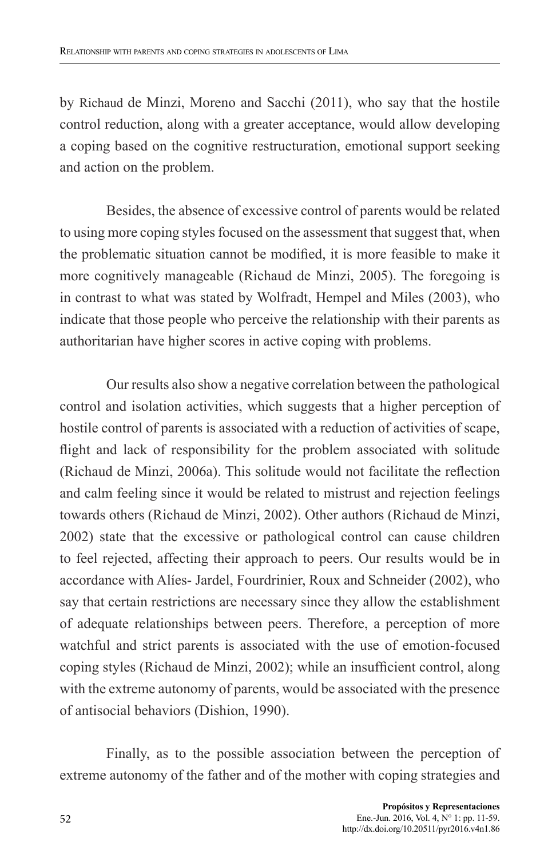by Richaud de Minzi, Moreno and Sacchi (2011), who say that the hostile control reduction, along with a greater acceptance, would allow developing a coping based on the cognitive restructuration, emotional support seeking and action on the problem.

Besides, the absence of excessive control of parents would be related to using more coping styles focused on the assessment that suggest that, when the problematic situation cannot be modified, it is more feasible to make it more cognitively manageable (Richaud de Minzi, 2005). The foregoing is in contrast to what was stated by Wolfradt, Hempel and Miles (2003), who indicate that those people who perceive the relationship with their parents as authoritarian have higher scores in active coping with problems.

Our results also show a negative correlation between the pathological control and isolation activities, which suggests that a higher perception of hostile control of parents is associated with a reduction of activities of scape, flight and lack of responsibility for the problem associated with solitude (Richaud de Minzi, 2006a). This solitude would not facilitate the reflection and calm feeling since it would be related to mistrust and rejection feelings towards others (Richaud de Minzi, 2002). Other authors (Richaud de Minzi, 2002) state that the excessive or pathological control can cause children to feel rejected, affecting their approach to peers. Our results would be in accordance with Alíes- Jardel, Fourdrinier, Roux and Schneider (2002), who say that certain restrictions are necessary since they allow the establishment of adequate relationships between peers. Therefore, a perception of more watchful and strict parents is associated with the use of emotion-focused coping styles (Richaud de Minzi, 2002); while an insufficient control, along with the extreme autonomy of parents, would be associated with the presence of antisocial behaviors (Dishion, 1990).

Finally, as to the possible association between the perception of extreme autonomy of the father and of the mother with coping strategies and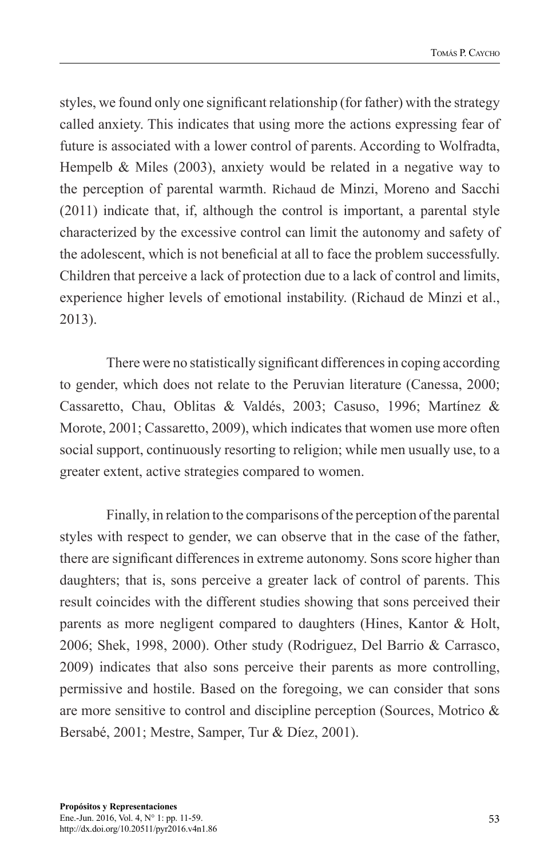styles, we found only one significant relationship (for father) with the strategy called anxiety. This indicates that using more the actions expressing fear of future is associated with a lower control of parents. According to Wolfradta, Hempelb & Miles (2003), anxiety would be related in a negative way to the perception of parental warmth. Richaud de Minzi, Moreno and Sacchi (2011) indicate that, if, although the control is important, a parental style characterized by the excessive control can limit the autonomy and safety of the adolescent, which is not beneficial at all to face the problem successfully. Children that perceive a lack of protection due to a lack of control and limits, experience higher levels of emotional instability. (Richaud de Minzi et al., 2013).

There were no statistically significant differences in coping according to gender, which does not relate to the Peruvian literature (Canessa, 2000; Cassaretto, Chau, Oblitas & Valdés, 2003; Casuso, 1996; Martínez & Morote, 2001; Cassaretto, 2009), which indicates that women use more often social support, continuously resorting to religion; while men usually use, to a greater extent, active strategies compared to women.

Finally, in relation to the comparisons of the perception of the parental styles with respect to gender, we can observe that in the case of the father, there are significant differences in extreme autonomy. Sons score higher than daughters; that is, sons perceive a greater lack of control of parents. This result coincides with the different studies showing that sons perceived their parents as more negligent compared to daughters (Hines, Kantor & Holt, 2006; Shek, 1998, 2000). Other study (Rodriguez, Del Barrio & Carrasco, 2009) indicates that also sons perceive their parents as more controlling, permissive and hostile. Based on the foregoing, we can consider that sons are more sensitive to control and discipline perception (Sources, Motrico & Bersabé, 2001; Mestre, Samper, Tur & Díez, 2001).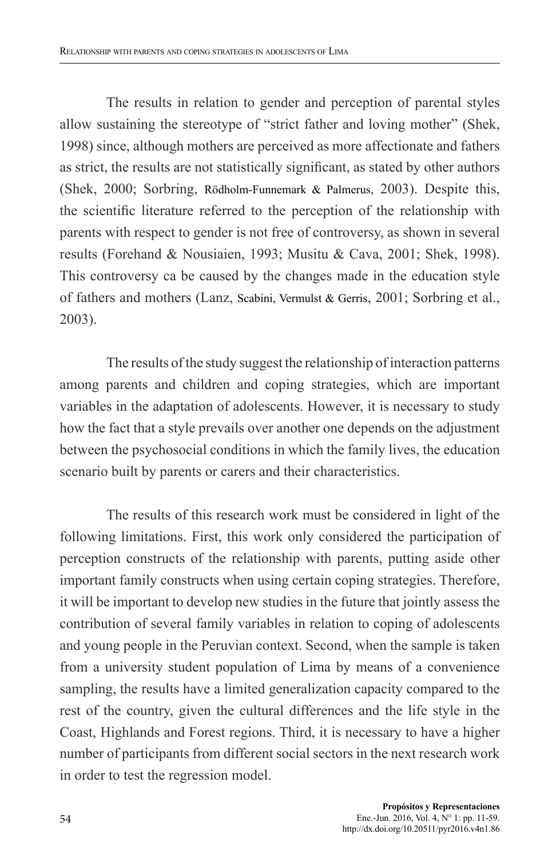The results in relation to gender and perception of parental styles allow sustaining the stereotype of "strict father and loving mother" (Shek, 1998) since, although mothers are perceived as more affectionate and fathers as strict, the results are not statistically significant, as stated by other authors (Shek, 2000; Sorbring, Rödholm-Funnemark & Palmerus, 2003). Despite this, the scientific literature referred to the perception of the relationship with parents with respect to gender is not free of controversy, as shown in several results (Forehand & Nousiaien, 1993; Musitu & Cava, 2001; Shek, 1998). This controversy ca be caused by the changes made in the education style of fathers and mothers (Lanz, Scabini, Vermulst & Gerris, 2001; Sorbring et al., 2003).

The results of the study suggest the relationship of interaction patterns among parents and children and coping strategies, which are important variables in the adaptation of adolescents. However, it is necessary to study how the fact that a style prevails over another one depends on the adjustment between the psychosocial conditions in which the family lives, the education scenario built by parents or carers and their characteristics.

The results of this research work must be considered in light of the following limitations. First, this work only considered the participation of perception constructs of the relationship with parents, putting aside other important family constructs when using certain coping strategies. Therefore, it will be important to develop new studies in the future that jointly assess the contribution of several family variables in relation to coping of adolescents and young people in the Peruvian context. Second, when the sample is taken from a university student population of Lima by means of a convenience sampling, the results have a limited generalization capacity compared to the rest of the country, given the cultural differences and the life style in the Coast, Highlands and Forest regions. Third, it is necessary to have a higher number of participants from different social sectors in the next research work in order to test the regression model.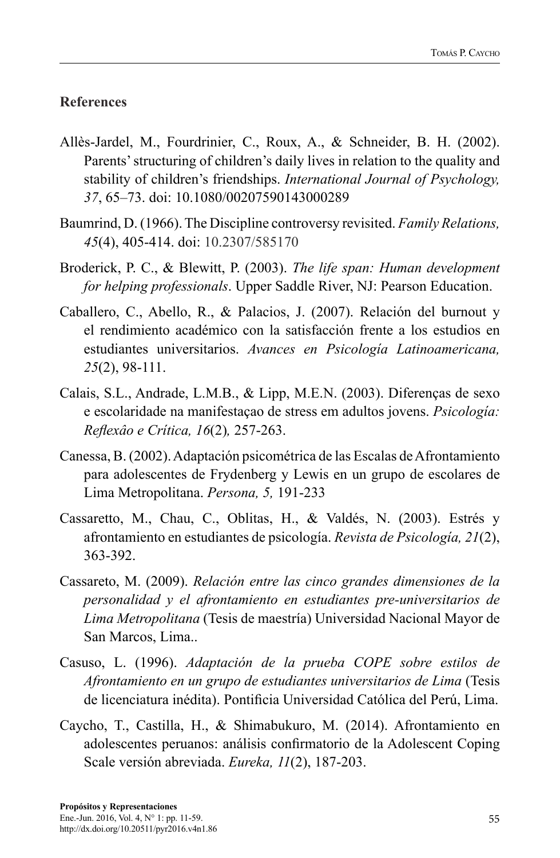# **References**

- Allès-Jardel, M., Fourdrinier, C., Roux, A., & Schneider, B. H. (2002). Parents' structuring of children's daily lives in relation to the quality and stability of children's friendships. *International Journal of Psychology, 37*, 65–73. doi: 10.1080/00207590143000289
- Baumrind, D. (1966). The Discipline controversy revisited. *Family Relations, 45*(4), 405-414. doi: 10.2307/585170
- Broderick, P. C., & Blewitt, P. (2003). *The life span: Human development for helping professionals*. Upper Saddle River, NJ: Pearson Education.
- Caballero, C., Abello, R., & Palacios, J. (2007). Relación del burnout y el rendimiento académico con la satisfacción frente a los estudios en estudiantes universitarios. *Avances en Psicología Latinoamericana, 25*(2), 98-111.
- Calais, S.L., Andrade, L.M.B., & Lipp, M.E.N. (2003). Diferenças de sexo e escolaridade na manifestaçao de stress em adultos jovens. *Psicología: Reflexâo e Crítica, 16*(2)*,* 257-263.
- Canessa, B. (2002). Adaptación psicométrica de las Escalas de Afrontamiento para adolescentes de Frydenberg y Lewis en un grupo de escolares de Lima Metropolitana. *Persona, 5,* 191-233
- Cassaretto, M., Chau, C., Oblitas, H., & Valdés, N. (2003). Estrés y afrontamiento en estudiantes de psicología. *Revista de Psicología, 21*(2), 363-392.
- Cassareto, M. (2009). *Relación entre las cinco grandes dimensiones de la personalidad y el afrontamiento en estudiantes pre-universitarios de Lima Metropolitana* (Tesis de maestría) Universidad Nacional Mayor de San Marcos, Lima..
- Casuso, L. (1996). *Adaptación de la prueba COPE sobre estilos de Afrontamiento en un grupo de estudiantes universitarios de Lima* (Tesis de licenciatura inédita). Pontificia Universidad Católica del Perú, Lima.
- Caycho, T., Castilla, H., & Shimabukuro, M. (2014). Afrontamiento en adolescentes peruanos: análisis confirmatorio de la Adolescent Coping Scale versión abreviada. *Eureka, 11*(2), 187-203.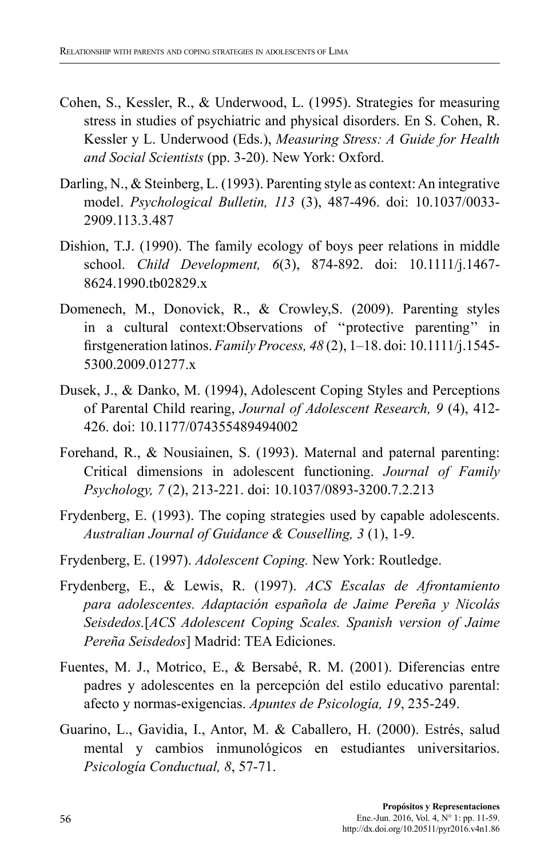- Cohen, S., Kessler, R., & Underwood, L. (1995). Strategies for measuring stress in studies of psychiatric and physical disorders. En S. Cohen, R. Kessler y L. Underwood (Eds.), *Measuring Stress: A Guide for Health and Social Scientists* (pp. 3-20). New York: Oxford.
- Darling, N., & Steinberg, L. (1993). Parenting style as context: An integrative model. *Psychological Bulletin, 113* (3), 487-496. doi: 10.1037/0033- 2909.113.3.487
- Dishion, T.J. (1990). The family ecology of boys peer relations in middle school. *Child Development, 6*(3), 874-892. doi: 10.1111/j.1467- 8624.1990.tb02829.x
- Domenech, M., Donovick, R., & Crowley,S. (2009). Parenting styles in a cultural context:Observations of ''protective parenting'' in firstgeneration latinos. *Family Process, 48* (2), 1–18. doi: 10.1111/j.1545- 5300.2009.01277.x
- Dusek, J., & Danko, M. (1994), Adolescent Coping Styles and Perceptions of Parental Child rearing, *Journal of Adolescent Research, 9* (4), 412- 426. doi: 10.1177/074355489494002
- Forehand, R., & Nousiainen, S. (1993). Maternal and paternal parenting: Critical dimensions in adolescent functioning. *Journal of Family Psychology, 7* (2), 213-221. doi: 10.1037/0893-3200.7.2.213
- Frydenberg, E. (1993). The coping strategies used by capable adolescents. *Australian Journal of Guidance & Couselling, 3* (1), 1-9.
- Frydenberg, E. (1997). *Adolescent Coping.* New York: Routledge.
- Frydenberg, E., & Lewis, R. (1997). *ACS Escalas de Afrontamiento para adolescentes. Adaptación española de Jaime Pereña y Nicolás Seisdedos.*[*ACS Adolescent Coping Scales. Spanish version of Jaime Pereña Seisdedos*] Madrid: TEA Ediciones.
- Fuentes, M. J., Motrico, E., & Bersabé, R. M. (2001). Diferencias entre padres y adolescentes en la percepción del estilo educativo parental: afecto y normas-exigencias. *Apuntes de Psicología, 19*, 235-249.
- Guarino, L., Gavidia, I., Antor, M. & Caballero, H. (2000). Estrés, salud mental y cambios inmunológicos en estudiantes universitarios. *Psicología Conductual, 8*, 57-71.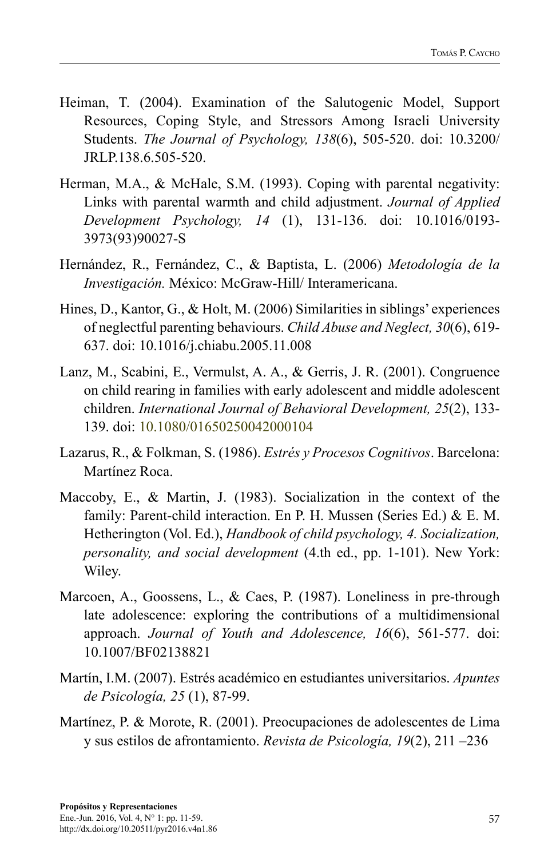- Heiman, T. (2004). Examination of the Salutogenic Model, Support Resources, Coping Style, and Stressors Among Israeli University Students. *The Journal of Psychology, 138*(6), 505-520. doi: 10.3200/ JRLP.138.6.505-520.
- Herman, M.A., & McHale, S.M. (1993). Coping with parental negativity: Links with parental warmth and child adjustment. *Journal of Applied Development Psychology, 14* (1), 131-136. doi: 10.1016/0193- 3973(93)90027-S
- Hernández, R., Fernández, C., & Baptista, L. (2006) *Metodología de la Investigación.* México: McGraw-Hill/ Interamericana.
- Hines, D., Kantor, G., & Holt, M. (2006) Similarities in siblings' experiences of neglectful parenting behaviours. *Child Abuse and Neglect, 30*(6), 619- 637. doi: 10.1016/j.chiabu.2005.11.008
- Lanz, M., Scabini, E., Vermulst, A. A., & Gerris, J. R. (2001). Congruence on child rearing in families with early adolescent and middle adolescent children. *International Journal of Behavioral Development, 25*(2), 133- 139. doi: 10.1080/01650250042000104
- Lazarus, R., & Folkman, S. (1986). *Estrés y Procesos Cognitivos*. Barcelona: Martínez Roca.
- Maccoby, E., & Martin, J. (1983). Socialization in the context of the family: Parent-child interaction. En P. H. Mussen (Series Ed.) & E. M. Hetherington (Vol. Ed.), *Handbook of child psychology, 4. Socialization, personality, and social development* (4.th ed., pp. 1-101). New York: Wiley.
- Marcoen, A., Goossens, L., & Caes, P. (1987). Loneliness in pre-through late adolescence: exploring the contributions of a multidimensional approach. *Journal of Youth and Adolescence, 16*(6), 561-577. doi: 10.1007/BF02138821
- Martín, I.M. (2007). Estrés académico en estudiantes universitarios. *Apuntes de Psicología, 25* (1), 87-99.
- Martínez, P. & Morote, R. (2001). Preocupaciones de adolescentes de Lima y sus estilos de afrontamiento. *Revista de Psicología, 19*(2), 211 –236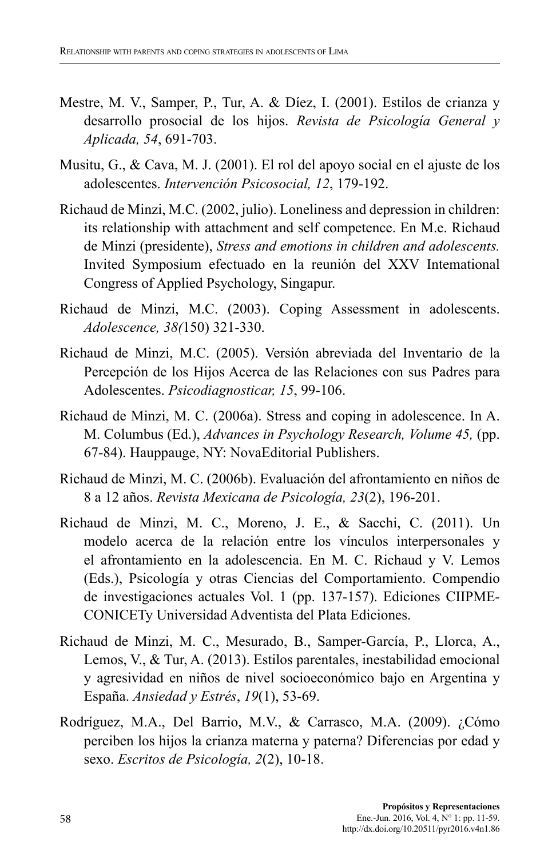- Mestre, M. V., Samper, P., Tur, A. & Díez, I. (2001). Estilos de crianza y desarrollo prosocial de los hijos. *Revista de Psicología General y Aplicada, 54*, 691-703.
- Musitu, G., & Cava, M. J. (2001). El rol del apoyo social en el ajuste de los adolescentes. *Intervención Psicosocial, 12*, 179-192.
- Richaud de Minzi, M.C. (2002, julio). Loneliness and depression in children: its relationship with attachment and self competence. En M.e. Richaud de Minzi (presidente), *Stress and emotions in children and adolescents.*  Invited Symposium efectuado en la reunión del XXV Intemational Congress of Applied Psychology, Singapur.
- Richaud de Minzi, M.C. (2003). Coping Assessment in adolescents. *Adolescence, 38(*150) 321-330.
- Richaud de Minzi, M.C. (2005). Versión abreviada del Inventario de la Percepción de los Hijos Acerca de las Relaciones con sus Padres para Adolescentes. *Psicodiagnosticar, 15*, 99-106.
- Richaud de Minzi, M. C. (2006a). Stress and coping in adolescence. In A. M. Columbus (Ed.), *Advances in Psychology Research, Volume 45,* (pp. 67-84). Hauppauge, NY: NovaEditorial Publishers.
- Richaud de Minzi, M. C. (2006b). Evaluación del afrontamiento en niños de 8 a 12 años. *Revista Mexicana de Psicología, 23*(2), 196-201.
- Richaud de Minzi, M. C., Moreno, J. E., & Sacchi, C. (2011). Un modelo acerca de la relación entre los vínculos interpersonales y el afrontamiento en la adolescencia. En M. C. Richaud y V. Lemos (Eds.), Psicología y otras Ciencias del Comportamiento. Compendio de investigaciones actuales Vol. 1 (pp. 137-157). Ediciones CIIPME-CONICETy Universidad Adventista del Plata Ediciones.
- Richaud de Minzi, M. C., Mesurado, B., Samper-García, P., Llorca, A., Lemos, V., & Tur, A. (2013). Estilos parentales, inestabilidad emocional y agresividad en niños de nivel socioeconómico bajo en Argentina y España. *Ansiedad y Estrés*, *19*(1), 53-69.
- Rodríguez, M.A., Del Barrio, M.V., & Carrasco, M.A. (2009). ¿Cómo perciben los hijos la crianza materna y paterna? Diferencias por edad y sexo. *Escritos de Psicología, 2*(2), 10-18.